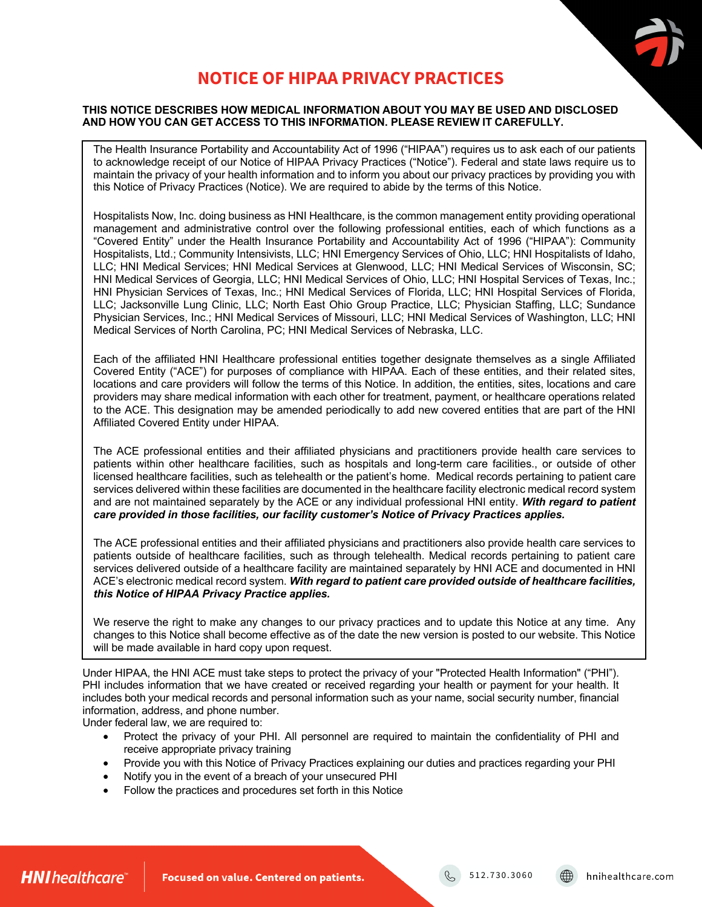

# **NOTICE OF HIPAA PRIVACY PRACTICES**

# **THIS NOTICE DESCRIBES HOW MEDICAL INFORMATION ABOUT YOU MAY BE USED AND DISCLOSED AND HOW YOU CAN GET ACCESS TO THIS INFORMATION. PLEASE REVIEW IT CAREFULLY.**

The Health Insurance Portability and Accountability Act of 1996 ("HIPAA") requires us to ask each of our patients to acknowledge receipt of our Notice of HIPAA Privacy Practices ("Notice"). Federal and state laws require us to maintain the privacy of your health information and to inform you about our privacy practices by providing you with this Notice of Privacy Practices (Notice). We are required to abide by the terms of this Notice.

Hospitalists Now, Inc. doing business as HNI Healthcare, is the common management entity providing operational management and administrative control over the following professional entities, each of which functions as a "Covered Entity" under the Health Insurance Portability and Accountability Act of 1996 ("HIPAA"): Community Hospitalists, Ltd.; Community Intensivists, LLC; HNI Emergency Services of Ohio, LLC; HNI Hospitalists of Idaho, LLC; HNI Medical Services; HNI Medical Services at Glenwood, LLC; HNI Medical Services of Wisconsin, SC; HNI Medical Services of Georgia, LLC; HNI Medical Services of Ohio, LLC; HNI Hospital Services of Texas, Inc.; HNI Physician Services of Texas, Inc.; HNI Medical Services of Florida, LLC; HNI Hospital Services of Florida, LLC; Jacksonville Lung Clinic, LLC; North East Ohio Group Practice, LLC; Physician Staffing, LLC; Sundance Physician Services, Inc.; HNI Medical Services of Missouri, LLC; HNI Medical Services of Washington, LLC; HNI Medical Services of North Carolina, PC; HNI Medical Services of Nebraska, LLC.

Each of the affiliated HNI Healthcare professional entities together designate themselves as a single Affiliated Covered Entity ("ACE") for purposes of compliance with HIPAA. Each of these entities, and their related sites, locations and care providers will follow the terms of this Notice. In addition, the entities, sites, locations and care providers may share medical information with each other for treatment, payment, or healthcare operations related to the ACE. This designation may be amended periodically to add new covered entities that are part of the HNI Affiliated Covered Entity under HIPAA.

The ACE professional entities and their affiliated physicians and practitioners provide health care services to patients within other healthcare facilities, such as hospitals and long-term care facilities., or outside of other licensed healthcare facilities, such as telehealth or the patient's home. Medical records pertaining to patient care services delivered within these facilities are documented in the healthcare facility electronic medical record system and are not maintained separately by the ACE or any individual professional HNI entity. *With regard to patient care provided in those facilities, our facility customer's Notice of Privacy Practices applies.* 

The ACE professional entities and their affiliated physicians and practitioners also provide health care services to patients outside of healthcare facilities, such as through telehealth. Medical records pertaining to patient care services delivered outside of a healthcare facility are maintained separately by HNI ACE and documented in HNI ACE's electronic medical record system. *With regard to patient care provided outside of healthcare facilities, this Notice of HIPAA Privacy Practice applies.*

We reserve the right to make any changes to our privacy practices and to update this Notice at any time. Any changes to this Notice shall become effective as of the date the new version is posted to our website. This Notice will be made available in hard copy upon request.

Under HIPAA, the HNI ACE must take steps to protect the privacy of your "Protected Health Information" ("PHI"). PHI includes information that we have created or received regarding your health or payment for your health. It includes both your medical records and personal information such as your name, social security number, financial information, address, and phone number.

Under federal law, we are required to:

- Protect the privacy of your PHI. All personnel are required to maintain the confidentiality of PHI and receive appropriate privacy training
- Provide you with this Notice of Privacy Practices explaining our duties and practices regarding your PHI
- Notify you in the event of a breach of your unsecured PHI
- Follow the practices and procedures set forth in this Notice

 $\begin{bmatrix} 6 & 512.730.3060 \end{bmatrix}$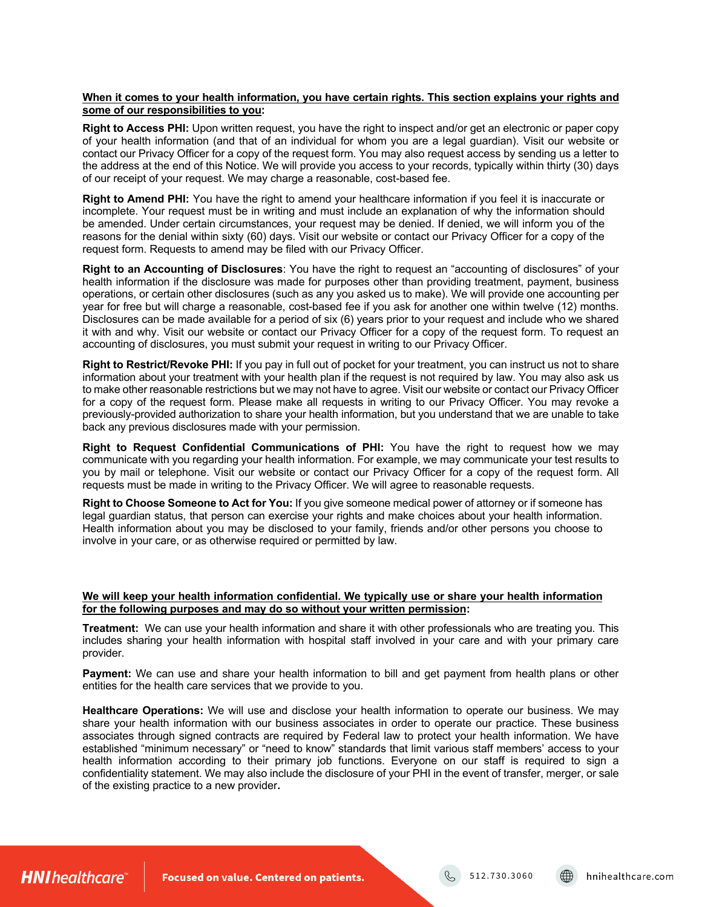# **When it comes to your health information, you have certain rights. This section explains your rights and some of our responsibilities to you:**

**Right to Access PHI:** Upon written request, you have the right to inspect and/or get an electronic or paper copy of your health information (and that of an individual for whom you are a legal guardian). Visit our website or contact our Privacy Officer for a copy of the request form. You may also request access by sending us a letter to the address at the end of this Notice. We will provide you access to your records, typically within thirty (30) days of our receipt of your request. We may charge a reasonable, cost-based fee.

**Right to Amend PHI:** You have the right to amend your healthcare information if you feel it is inaccurate or incomplete. Your request must be in writing and must include an explanation of why the information should be amended. Under certain circumstances, your request may be denied. If denied, we will inform you of the reasons for the denial within sixty (60) days. Visit our website or contact our Privacy Officer for a copy of the request form. Requests to amend may be filed with our Privacy Officer.

**Right to an Accounting of Disclosures**: You have the right to request an "accounting of disclosures" of your health information if the disclosure was made for purposes other than providing treatment, payment, business operations, or certain other disclosures (such as any you asked us to make). We will provide one accounting per year for free but will charge a reasonable, cost-based fee if you ask for another one within twelve (12) months. Disclosures can be made available for a period of six (6) years prior to your request and include who we shared it with and why. Visit our website or contact our Privacy Officer for a copy of the request form. To request an accounting of disclosures, you must submit your request in writing to our Privacy Officer.

**Right to Restrict/Revoke PHI:** If you pay in full out of pocket for your treatment, you can instruct us not to share information about your treatment with your health plan if the request is not required by law. You may also ask us to make other reasonable restrictions but we may not have to agree. Visit our website or contact our Privacy Officer for a copy of the request form. Please make all requests in writing to our Privacy Officer. You may revoke a previously-provided authorization to share your health information, but you understand that we are unable to take back any previous disclosures made with your permission.

**Right to Request Confidential Communications of PHI:** You have the right to request how we may communicate with you regarding your health information. For example, we may communicate your test results to you by mail or telephone. Visit our website or contact our Privacy Officer for a copy of the request form. All requests must be made in writing to the Privacy Officer. We will agree to reasonable requests.

**Right to Choose Someone to Act for You:** If you give someone medical power of attorney or if someone has legal guardian status, that person can exercise your rights and make choices about your health information. Health information about you may be disclosed to your family, friends and/or other persons you choose to involve in your care, or as otherwise required or permitted by law.

# **We will keep your health information confidential. We typically use or share your health information for the following purposes and may do so without your written permission:**

**Treatment:** We can use your health information and share it with other professionals who are treating you. This includes sharing your health information with hospital staff involved in your care and with your primary care provider.

**Payment:** We can use and share your health information to bill and get payment from health plans or other entities for the health care services that we provide to you.

**Healthcare Operations:** We will use and disclose your health information to operate our business. We may share your health information with our business associates in order to operate our practice. These business associates through signed contracts are required by Federal law to protect your health information. We have established "minimum necessary" or "need to know" standards that limit various staff members' access to your health information according to their primary job functions. Everyone on our staff is required to sign a confidentiality statement. We may also include the disclosure of your PHI in the event of transfer, merger, or sale of the existing practice to a new provider**.**

**HNI** healthcare

Focused on value. Centered on patients.

512.730.3060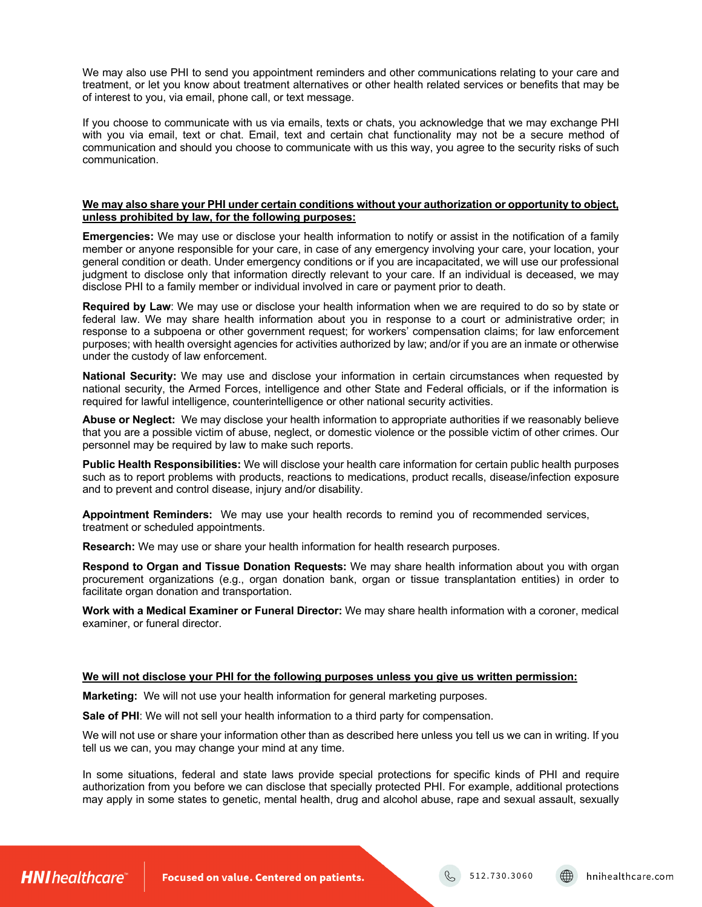We may also use PHI to send you appointment reminders and other communications relating to your care and treatment, or let you know about treatment alternatives or other health related services or benefits that may be of interest to you, via email, phone call, or text message.

If you choose to communicate with us via emails, texts or chats, you acknowledge that we may exchange PHI with you via email, text or chat. Email, text and certain chat functionality may not be a secure method of communication and should you choose to communicate with us this way, you agree to the security risks of such communication.

#### **We may also share your PHI under certain conditions without your authorization or opportunity to object, unless prohibited by law, for the following purposes:**

**Emergencies:** We may use or disclose your health information to notify or assist in the notification of a family member or anyone responsible for your care, in case of any emergency involving your care, your location, your general condition or death. Under emergency conditions or if you are incapacitated, we will use our professional judgment to disclose only that information directly relevant to your care. If an individual is deceased, we may disclose PHI to a family member or individual involved in care or payment prior to death.

**Required by Law**: We may use or disclose your health information when we are required to do so by state or federal law. We may share health information about you in response to a court or administrative order; in response to a subpoena or other government request; for workers' compensation claims; for law enforcement purposes; with health oversight agencies for activities authorized by law; and/or if you are an inmate or otherwise under the custody of law enforcement.

**National Security:** We may use and disclose your information in certain circumstances when requested by national security, the Armed Forces, intelligence and other State and Federal officials, or if the information is required for lawful intelligence, counterintelligence or other national security activities.

**Abuse or Neglect:** We may disclose your health information to appropriate authorities if we reasonably believe that you are a possible victim of abuse, neglect, or domestic violence or the possible victim of other crimes. Our personnel may be required by law to make such reports.

**Public Health Responsibilities:** We will disclose your health care information for certain public health purposes such as to report problems with products, reactions to medications, product recalls, disease/infection exposure and to prevent and control disease, injury and/or disability.

**Appointment Reminders:** We may use your health records to remind you of recommended services, treatment or scheduled appointments.

**Research:** We may use or share your health information for health research purposes.

**Respond to Organ and Tissue Donation Requests:** We may share health information about you with organ procurement organizations (e.g., organ donation bank, organ or tissue transplantation entities) in order to facilitate organ donation and transportation.

**Work with a Medical Examiner or Funeral Director:** We may share health information with a coroner, medical examiner, or funeral director.

# **We will not disclose your PHI for the following purposes unless you give us written permission:**

**Marketing:** We will not use your health information for general marketing purposes.

**Sale of PHI**: We will not sell your health information to a third party for compensation.

We will not use or share your information other than as described here unless you tell us we can in writing. If you tell us we can, you may change your mind at any time.

In some situations, federal and state laws provide special protections for specific kinds of PHI and require authorization from you before we can disclose that specially protected PHI. For example, additional protections may apply in some states to genetic, mental health, drug and alcohol abuse, rape and sexual assault, sexually

**HNI** healthcare

Focused on value. Centered on patients.

512.730.3060